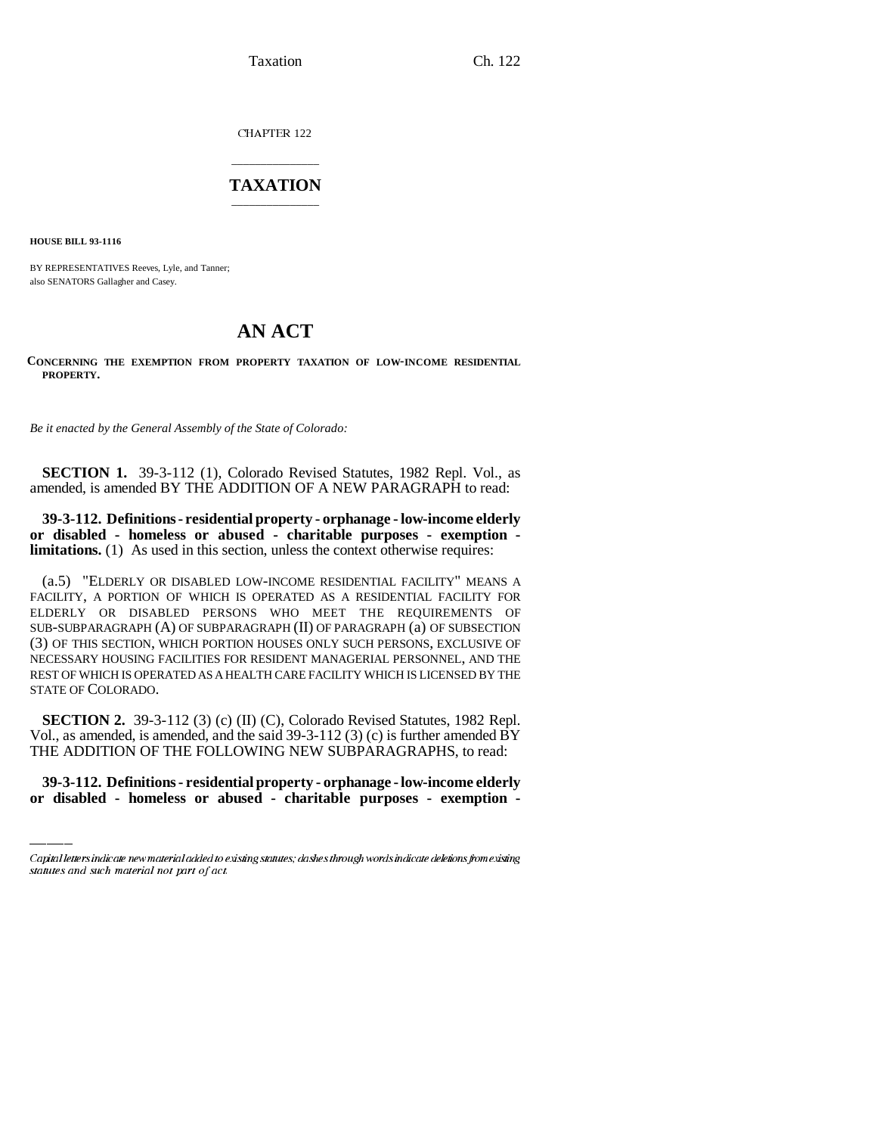Taxation Ch. 122

CHAPTER 122

## \_\_\_\_\_\_\_\_\_\_\_\_\_\_\_ **TAXATION** \_\_\_\_\_\_\_\_\_\_\_\_\_\_\_

**HOUSE BILL 93-1116**

BY REPRESENTATIVES Reeves, Lyle, and Tanner; also SENATORS Gallagher and Casey.

## **AN ACT**

**CONCERNING THE EXEMPTION FROM PROPERTY TAXATION OF LOW-INCOME RESIDENTIAL PROPERTY.**

*Be it enacted by the General Assembly of the State of Colorado:*

**SECTION 1.** 39-3-112 (1), Colorado Revised Statutes, 1982 Repl. Vol., as amended, is amended BY THE ADDITION OF A NEW PARAGRAPH to read:

**39-3-112. Definitions - residential property - orphanage - low-income elderly or disabled - homeless or abused - charitable purposes - exemption limitations.** (1) As used in this section, unless the context otherwise requires:

(a.5) "ELDERLY OR DISABLED LOW-INCOME RESIDENTIAL FACILITY" MEANS A FACILITY, A PORTION OF WHICH IS OPERATED AS A RESIDENTIAL FACILITY FOR ELDERLY OR DISABLED PERSONS WHO MEET THE REQUIREMENTS OF SUB-SUBPARAGRAPH (A) OF SUBPARAGRAPH (II) OF PARAGRAPH (a) OF SUBSECTION (3) OF THIS SECTION, WHICH PORTION HOUSES ONLY SUCH PERSONS, EXCLUSIVE OF NECESSARY HOUSING FACILITIES FOR RESIDENT MANAGERIAL PERSONNEL, AND THE REST OF WHICH IS OPERATED AS A HEALTH CARE FACILITY WHICH IS LICENSED BY THE STATE OF COLORADO.

Vol., as amended, is amended, and the said 39-3-112 (3) (c) is further amended BY **SECTION 2.** 39-3-112 (3) (c) (II) (C), Colorado Revised Statutes, 1982 Repl. THE ADDITION OF THE FOLLOWING NEW SUBPARAGRAPHS, to read:

**39-3-112. Definitions - residential property - orphanage - low-income elderly or disabled - homeless or abused - charitable purposes - exemption -**

Capital letters indicate new material added to existing statutes; dashes through words indicate deletions from existing statutes and such material not part of act.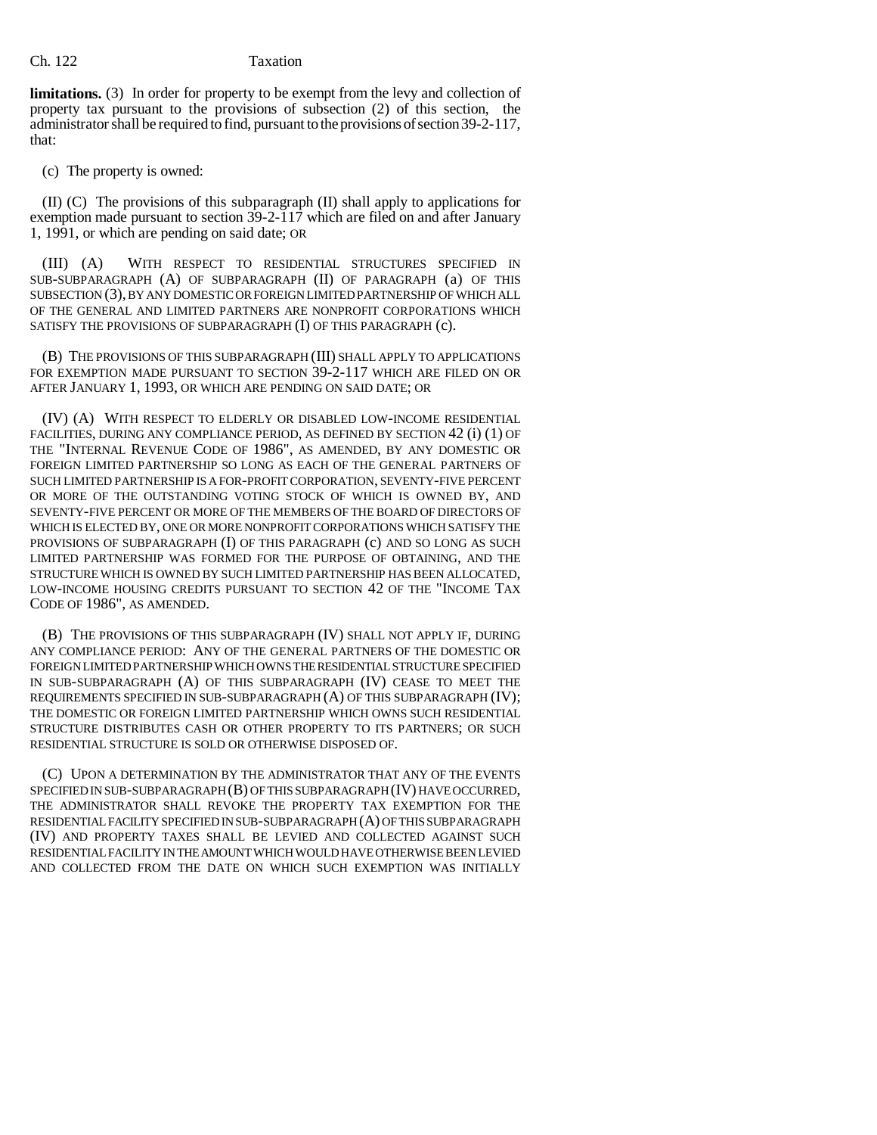## Ch. 122 Taxation

**limitations.** (3) In order for property to be exempt from the levy and collection of property tax pursuant to the provisions of subsection (2) of this section, the administrator shall be required to find, pursuant to the provisions of section 39-2-117, that:

(c) The property is owned:

(II) (C) The provisions of this subparagraph (II) shall apply to applications for exemption made pursuant to section 39-2-117 which are filed on and after January 1, 1991, or which are pending on said date; OR

(III) (A) WITH RESPECT TO RESIDENTIAL STRUCTURES SPECIFIED IN SUB-SUBPARAGRAPH (A) OF SUBPARAGRAPH (II) OF PARAGRAPH (a) OF THIS SUBSECTION (3), BY ANY DOMESTIC OR FOREIGN LIMITED PARTNERSHIP OF WHICH ALL OF THE GENERAL AND LIMITED PARTNERS ARE NONPROFIT CORPORATIONS WHICH SATISFY THE PROVISIONS OF SUBPARAGRAPH (I) OF THIS PARAGRAPH (c).

(B) THE PROVISIONS OF THIS SUBPARAGRAPH (III) SHALL APPLY TO APPLICATIONS FOR EXEMPTION MADE PURSUANT TO SECTION 39-2-117 WHICH ARE FILED ON OR AFTER JANUARY 1, 1993, OR WHICH ARE PENDING ON SAID DATE; OR

(IV) (A) WITH RESPECT TO ELDERLY OR DISABLED LOW-INCOME RESIDENTIAL FACILITIES, DURING ANY COMPLIANCE PERIOD, AS DEFINED BY SECTION 42 (i) (1) OF THE "INTERNAL REVENUE CODE OF 1986", AS AMENDED, BY ANY DOMESTIC OR FOREIGN LIMITED PARTNERSHIP SO LONG AS EACH OF THE GENERAL PARTNERS OF SUCH LIMITED PARTNERSHIP IS A FOR-PROFIT CORPORATION, SEVENTY-FIVE PERCENT OR MORE OF THE OUTSTANDING VOTING STOCK OF WHICH IS OWNED BY, AND SEVENTY-FIVE PERCENT OR MORE OF THE MEMBERS OF THE BOARD OF DIRECTORS OF WHICH IS ELECTED BY, ONE OR MORE NONPROFIT CORPORATIONS WHICH SATISFY THE PROVISIONS OF SUBPARAGRAPH (I) OF THIS PARAGRAPH (c) AND SO LONG AS SUCH LIMITED PARTNERSHIP WAS FORMED FOR THE PURPOSE OF OBTAINING, AND THE STRUCTURE WHICH IS OWNED BY SUCH LIMITED PARTNERSHIP HAS BEEN ALLOCATED, LOW-INCOME HOUSING CREDITS PURSUANT TO SECTION 42 OF THE "INCOME TAX CODE OF 1986", AS AMENDED.

(B) THE PROVISIONS OF THIS SUBPARAGRAPH (IV) SHALL NOT APPLY IF, DURING ANY COMPLIANCE PERIOD: ANY OF THE GENERAL PARTNERS OF THE DOMESTIC OR FOREIGN LIMITED PARTNERSHIP WHICH OWNS THE RESIDENTIAL STRUCTURE SPECIFIED IN SUB-SUBPARAGRAPH (A) OF THIS SUBPARAGRAPH (IV) CEASE TO MEET THE REQUIREMENTS SPECIFIED IN SUB-SUBPARAGRAPH (A) OF THIS SUBPARAGRAPH (IV); THE DOMESTIC OR FOREIGN LIMITED PARTNERSHIP WHICH OWNS SUCH RESIDENTIAL STRUCTURE DISTRIBUTES CASH OR OTHER PROPERTY TO ITS PARTNERS; OR SUCH RESIDENTIAL STRUCTURE IS SOLD OR OTHERWISE DISPOSED OF.

(C) UPON A DETERMINATION BY THE ADMINISTRATOR THAT ANY OF THE EVENTS SPECIFIED IN SUB-SUBPARAGRAPH (B) OF THIS SUBPARAGRAPH (IV) HAVE OCCURRED, THE ADMINISTRATOR SHALL REVOKE THE PROPERTY TAX EXEMPTION FOR THE RESIDENTIAL FACILITY SPECIFIED IN SUB-SUBPARAGRAPH (A) OF THIS SUBPARAGRAPH (IV) AND PROPERTY TAXES SHALL BE LEVIED AND COLLECTED AGAINST SUCH RESIDENTIAL FACILITY IN THE AMOUNT WHICH WOULD HAVE OTHERWISE BEEN LEVIED AND COLLECTED FROM THE DATE ON WHICH SUCH EXEMPTION WAS INITIALLY